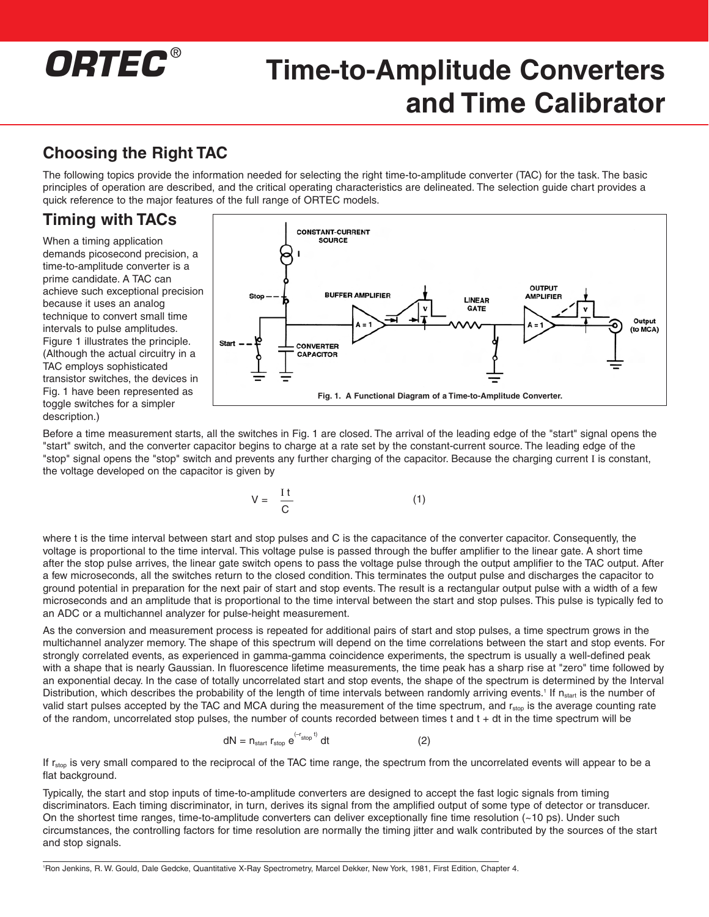# *ORTEC* ®

## **Time-to-Amplitude Converters and Time Calibrator**

### **Choosing the Right TAC**

The following topics provide the information needed for selecting the right time-to-amplitude converter (TAC) for the task. The basic principles of operation are described, and the critical operating characteristics are delineated. The selection guide chart provides a quick reference to the major features of the full range of ORTEC models.

### **Timing with TACs**

When a timing application demands picosecond precision, a time-to-amplitude converter is a prime candidate. A TAC can achieve such exceptional precision because it uses an analog technique to convert small time intervals to pulse amplitudes. Figure 1 illustrates the principle. (Although the actual circuitry in a TAC employs sophisticated transistor switches, the devices in Fig. 1 have been represented as toggle switches for a simpler description.)



Before a time measurement starts, all the switches in Fig. 1 are closed. The arrival of the leading edge of the "start" signal opens the "start" switch, and the converter capacitor begins to charge at a rate set by the constant-current source. The leading edge of the "stop" signal opens the "stop" switch and prevents any further charging of the capacitor. Because the charging current I is constant, the voltage developed on the capacitor is given by

$$
V = \frac{It}{C} \tag{1}
$$

where t is the time interval between start and stop pulses and C is the capacitance of the converter capacitor. Consequently, the voltage is proportional to the time interval. This voltage pulse is passed through the buffer amplifier to the linear gate. A short time after the stop pulse arrives, the linear gate switch opens to pass the voltage pulse through the output amplifier to the TAC output. After a few microseconds, all the switches return to the closed condition. This terminates the output pulse and discharges the capacitor to ground potential in preparation for the next pair of start and stop events. The result is a rectangular output pulse with a width of a few microseconds and an amplitude that is proportional to the time interval between the start and stop pulses. This pulse is typically fed to an ADC or a multichannel analyzer for pulse-height measurement.

As the conversion and measurement process is repeated for additional pairs of start and stop pulses, a time spectrum grows in the multichannel analyzer memory. The shape of this spectrum will depend on the time correlations between the start and stop events. For strongly correlated events, as experienced in gamma-gamma coincidence experiments, the spectrum is usually a well-defined peak with a shape that is nearly Gaussian. In fluorescence lifetime measurements, the time peak has a sharp rise at "zero" time followed by an exponential decay. In the case of totally uncorrelated start and stop events, the shape of the spectrum is determined by the Interval Distribution, which describes the probability of the length of time intervals between randomly arriving events.<sup>1</sup> If  $n_{\text{start}}$  is the number of valid start pulses accepted by the TAC and MCA during the measurement of the time spectrum, and r<sub>stop</sub> is the average counting rate of the random, uncorrelated stop pulses, the number of counts recorded between times  $t$  and  $t + dt$  in the time spectrum will be

$$
dN = n_{\text{start}} r_{\text{stop}} e^{(-r_{\text{stop}}t)} dt
$$
 (2)

If r<sub>stop</sub> is very small compared to the reciprocal of the TAC time range, the spectrum from the uncorrelated events will appear to be a flat background.

Typically, the start and stop inputs of time-to-amplitude converters are designed to accept the fast logic signals from timing discriminators. Each timing discriminator, in turn, derives its signal from the amplified output of some type of detector or transducer. On the shortest time ranges, time-to-amplitude converters can deliver exceptionally fine time resolution (~10 ps). Under such circumstances, the controlling factors for time resolution are normally the timing jitter and walk contributed by the sources of the start and stop signals.

1 Ron Jenkins, R. W. Gould, Dale Gedcke, Quantitative X-Ray Spectrometry, Marcel Dekker, New York, 1981, First Edition, Chapter 4.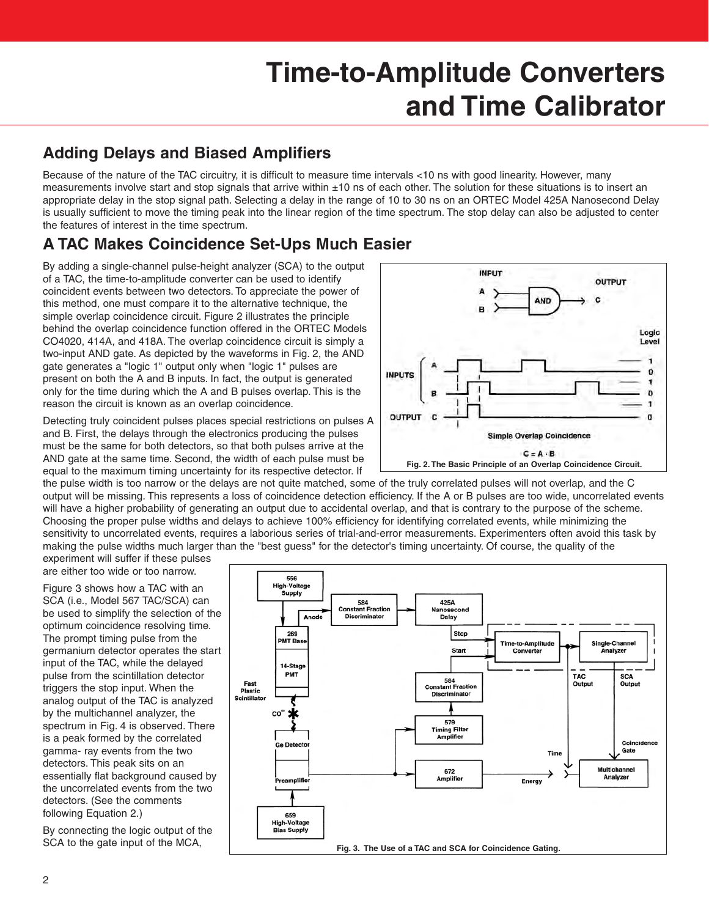### **Adding Delays and Biased Amplifiers**

Because of the nature of the TAC circuitry, it is difficult to measure time intervals <10 ns with good linearity. However, many measurements involve start and stop signals that arrive within ±10 ns of each other. The solution for these situations is to insert an appropriate delay in the stop signal path. Selecting a delay in the range of 10 to 30 ns on an ORTEC Model 425A Nanosecond Delay is usually sufficient to move the timing peak into the linear region of the time spectrum. The stop delay can also be adjusted to center the features of interest in the time spectrum.

### **A TAC Makes Coincidence Set-Ups Much Easier**

By adding a single-channel pulse-height analyzer (SCA) to the output of a TAC, the time-to-amplitude converter can be used to identify coincident events between two detectors. To appreciate the power of this method, one must compare it to the alternative technique, the simple overlap coincidence circuit. Figure 2 illustrates the principle behind the overlap coincidence function offered in the ORTEC Models CO4020, 414A, and 418A. The overlap coincidence circuit is simply a two-input AND gate. As depicted by the waveforms in Fig. 2, the AND gate generates a "logic 1" output only when "logic 1" pulses are present on both the A and B inputs. In fact, the output is generated only for the time during which the A and B pulses overlap. This is the reason the circuit is known as an overlap coincidence.

Detecting truly coincident pulses places special restrictions on pulses A and B. First, the delays through the electronics producing the pulses must be the same for both detectors, so that both pulses arrive at the AND gate at the same time. Second, the width of each pulse must be equal to the maximum timing uncertainty for its respective detector. If



the pulse width is too narrow or the delays are not quite matched, some of the truly correlated pulses will not overlap, and the C output will be missing. This represents a loss of coincidence detection efficiency. If the A or B pulses are too wide, uncorrelated events will have a higher probability of generating an output due to accidental overlap, and that is contrary to the purpose of the scheme. Choosing the proper pulse widths and delays to achieve 100% efficiency for identifying correlated events, while minimizing the sensitivity to uncorrelated events, requires a laborious series of trial-and-error measurements. Experimenters often avoid this task by making the pulse widths much larger than the "best guess" for the detector's timing uncertainty. Of course, the quality of the

experiment will suffer if these pulses are either too wide or too narrow.

Figure 3 shows how a TAC with an SCA (i.e., Model 567 TAC/SCA) can be used to simplify the selection of the optimum coincidence resolving time. The prompt timing pulse from the germanium detector operates the start input of the TAC, while the delayed pulse from the scintillation detector triggers the stop input. When the analog output of the TAC is analyzed by the multichannel analyzer, the spectrum in Fig. 4 is observed. There is a peak formed by the correlated gamma- ray events from the two detectors. This peak sits on an essentially flat background caused by the uncorrelated events from the two detectors. (See the comments following Equation 2.)

By connecting the logic output of the SCA to the gate input of the MCA,

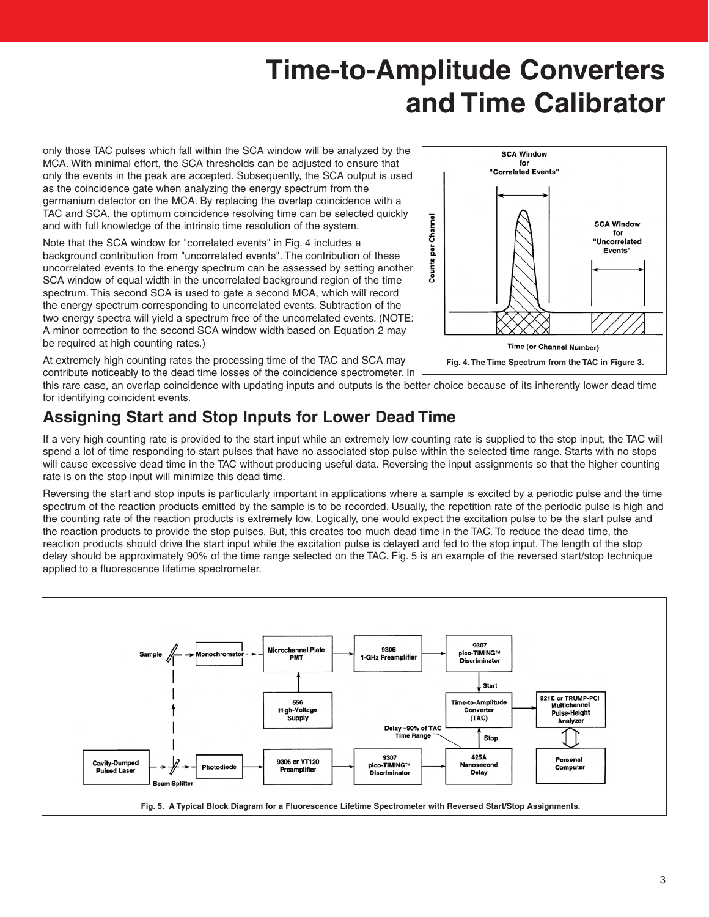only those TAC pulses which fall within the SCA window will be analyzed by the MCA. With minimal effort, the SCA thresholds can be adjusted to ensure that only the events in the peak are accepted. Subsequently, the SCA output is used as the coincidence gate when analyzing the energy spectrum from the germanium detector on the MCA. By replacing the overlap coincidence with a TAC and SCA, the optimum coincidence resolving time can be selected quickly and with full knowledge of the intrinsic time resolution of the system.

Note that the SCA window for "correlated events" in Fig. 4 includes a background contribution from "uncorrelated events". The contribution of these uncorrelated events to the energy spectrum can be assessed by setting another SCA window of equal width in the uncorrelated background region of the time spectrum. This second SCA is used to gate a second MCA, which will record the energy spectrum corresponding to uncorrelated events. Subtraction of the two energy spectra will yield a spectrum free of the uncorrelated events. (NOTE: A minor correction to the second SCA window width based on Equation 2 may be required at high counting rates.)

**SCA Window** for "Correlated Events" Channel **SCA Window** for "Uncorrelated Counts per Events" **Time (or Channel Number) Fig. 4. The Time Spectrum from the TAC in Figure 3.**

At extremely high counting rates the processing time of the TAC and SCA may contribute noticeably to the dead time losses of the coincidence spectrometer. In

this rare case, an overlap coincidence with updating inputs and outputs is the better choice because of its inherently lower dead time for identifying coincident events.

### **Assigning Start and Stop Inputs for Lower Dead Time**

If a very high counting rate is provided to the start input while an extremely low counting rate is supplied to the stop input, the TAC will spend a lot of time responding to start pulses that have no associated stop pulse within the selected time range. Starts with no stops will cause excessive dead time in the TAC without producing useful data. Reversing the input assignments so that the higher counting rate is on the stop input will minimize this dead time.

Reversing the start and stop inputs is particularly important in applications where a sample is excited by a periodic pulse and the time spectrum of the reaction products emitted by the sample is to be recorded. Usually, the repetition rate of the periodic pulse is high and the counting rate of the reaction products is extremely low. Logically, one would expect the excitation pulse to be the start pulse and the reaction products to provide the stop pulses. But, this creates too much dead time in the TAC. To reduce the dead time, the reaction products should drive the start input while the excitation pulse is delayed and fed to the stop input. The length of the stop delay should be approximately 90% of the time range selected on the TAC. Fig. 5 is an example of the reversed start/stop technique applied to a fluorescence lifetime spectrometer.

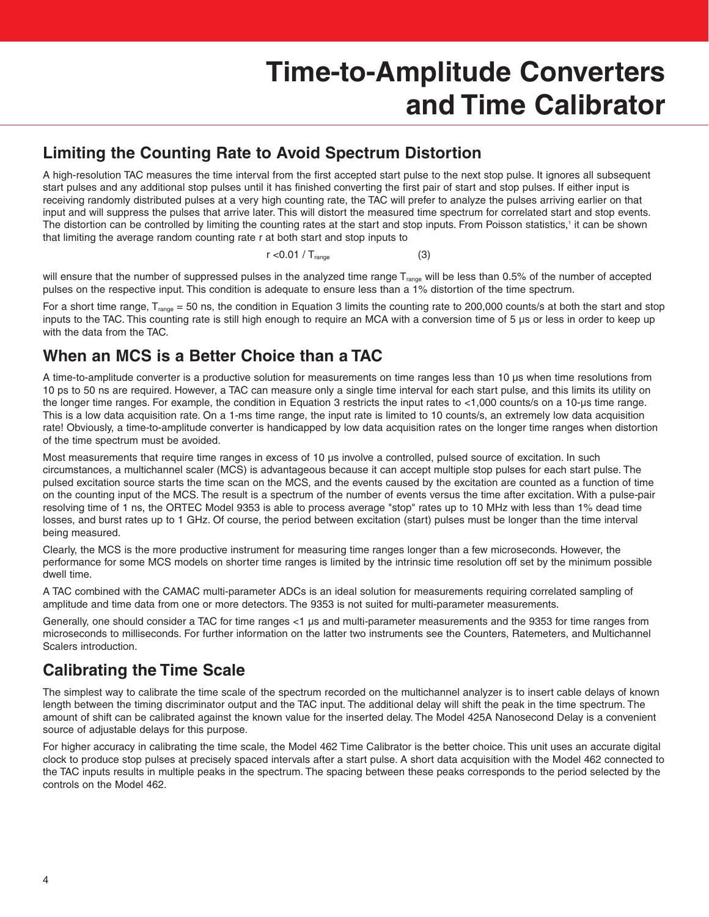#### **Limiting the Counting Rate to Avoid Spectrum Distortion**

A high-resolution TAC measures the time interval from the first accepted start pulse to the next stop pulse. It ignores all subsequent start pulses and any additional stop pulses until it has finished converting the first pair of start and stop pulses. If either input is receiving randomly distributed pulses at a very high counting rate, the TAC will prefer to analyze the pulses arriving earlier on that input and will suppress the pulses that arrive later. This will distort the measured time spectrum for correlated start and stop events. The distortion can be controlled by limiting the counting rates at the start and stop inputs. From Poisson statistics,<sup>1</sup> it can be shown that limiting the average random counting rate r at both start and stop inputs to

#### $r < 0.01 / T_{\text{range}}$  (3)

will ensure that the number of suppressed pulses in the analyzed time range  $T_{\text{range}}$  will be less than 0.5% of the number of accepted pulses on the respective input. This condition is adequate to ensure less than a 1% distortion of the time spectrum.

For a short time range,  $T_{\text{range}} = 50$  ns, the condition in Equation 3 limits the counting rate to 200,000 counts/s at both the start and stop inputs to the TAC. This counting rate is still high enough to require an MCA with a conversion time of 5 µs or less in order to keep up with the data from the TAC.

#### **When an MCS is a Better Choice than a TAC**

A time-to-amplitude converter is a productive solution for measurements on time ranges less than 10 µs when time resolutions from 10 ps to 50 ns are required. However, a TAC can measure only a single time interval for each start pulse, and this limits its utility on the longer time ranges. For example, the condition in Equation 3 restricts the input rates to <1,000 counts/s on a 10-µs time range. This is a low data acquisition rate. On a 1-ms time range, the input rate is limited to 10 counts/s, an extremely low data acquisition rate! Obviously, a time-to-amplitude converter is handicapped by low data acquisition rates on the longer time ranges when distortion of the time spectrum must be avoided.

Most measurements that require time ranges in excess of 10 µs involve a controlled, pulsed source of excitation. In such circumstances, a multichannel scaler (MCS) is advantageous because it can accept multiple stop pulses for each start pulse. The pulsed excitation source starts the time scan on the MCS, and the events caused by the excitation are counted as a function of time on the counting input of the MCS. The result is a spectrum of the number of events versus the time after excitation. With a pulse-pair resolving time of 1 ns, the ORTEC Model 9353 is able to process average "stop" rates up to 10 MHz with less than 1% dead time losses, and burst rates up to 1 GHz. Of course, the period between excitation (start) pulses must be longer than the time interval being measured.

Clearly, the MCS is the more productive instrument for measuring time ranges longer than a few microseconds. However, the performance for some MCS models on shorter time ranges is limited by the intrinsic time resolution off set by the minimum possible dwell time.

A TAC combined with the CAMAC multi-parameter ADCs is an ideal solution for measurements requiring correlated sampling of amplitude and time data from one or more detectors. The 9353 is not suited for multi-parameter measurements.

Generally, one should consider a TAC for time ranges <1 µs and multi-parameter measurements and the 9353 for time ranges from microseconds to milliseconds. For further information on the latter two instruments see the Counters, Ratemeters, and Multichannel Scalers introduction.

#### **Calibrating the Time Scale**

The simplest way to calibrate the time scale of the spectrum recorded on the multichannel analyzer is to insert cable delays of known length between the timing discriminator output and the TAC input. The additional delay will shift the peak in the time spectrum. The amount of shift can be calibrated against the known value for the inserted delay. The Model 425A Nanosecond Delay is a convenient source of adjustable delays for this purpose.

For higher accuracy in calibrating the time scale, the Model 462 Time Calibrator is the better choice. This unit uses an accurate digital clock to produce stop pulses at precisely spaced intervals after a start pulse. A short data acquisition with the Model 462 connected to the TAC inputs results in multiple peaks in the spectrum. The spacing between these peaks corresponds to the period selected by the controls on the Model 462.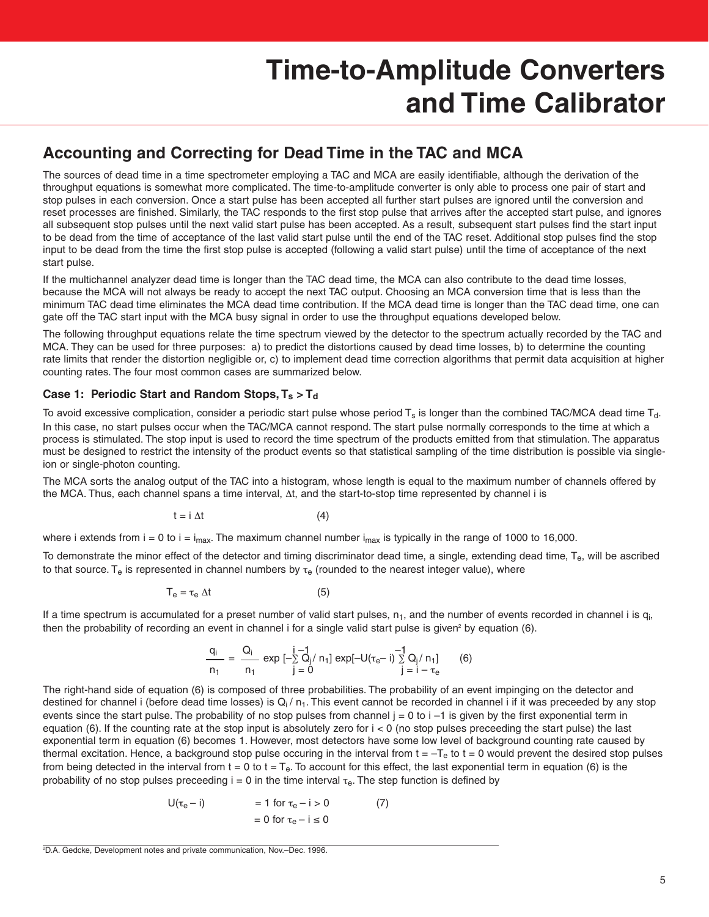#### **Accounting and Correcting for Dead Time in the TAC and MCA**

The sources of dead time in a time spectrometer employing a TAC and MCA are easily identifiable, although the derivation of the throughput equations is somewhat more complicated. The time-to-amplitude converter is only able to process one pair of start and stop pulses in each conversion. Once a start pulse has been accepted all further start pulses are ignored until the conversion and reset processes are finished. Similarly, the TAC responds to the first stop pulse that arrives after the accepted start pulse, and ignores all subsequent stop pulses until the next valid start pulse has been accepted. As a result, subsequent start pulses find the start input to be dead from the time of acceptance of the last valid start pulse until the end of the TAC reset. Additional stop pulses find the stop input to be dead from the time the first stop pulse is accepted (following a valid start pulse) until the time of acceptance of the next start pulse.

If the multichannel analyzer dead time is longer than the TAC dead time, the MCA can also contribute to the dead time losses, because the MCA will not always be ready to accept the next TAC output. Choosing an MCA conversion time that is less than the minimum TAC dead time eliminates the MCA dead time contribution. If the MCA dead time is longer than the TAC dead time, one can gate off the TAC start input with the MCA busy signal in order to use the throughput equations developed below.

The following throughput equations relate the time spectrum viewed by the detector to the spectrum actually recorded by the TAC and MCA. They can be used for three purposes: a) to predict the distortions caused by dead time losses, b) to determine the counting rate limits that render the distortion negligible or, c) to implement dead time correction algorithms that permit data acquisition at higher counting rates. The four most common cases are summarized below.

#### Case 1: Periodic Start and Random Stops,  $T_s > T_d$

To avoid excessive complication, consider a periodic start pulse whose period  $T_s$  is longer than the combined TAC/MCA dead time  $T_d$ . In this case, no start pulses occur when the TAC/MCA cannot respond. The start pulse normally corresponds to the time at which a process is stimulated. The stop input is used to record the time spectrum of the products emitted from that stimulation. The apparatus must be designed to restrict the intensity of the product events so that statistical sampling of the time distribution is possible via singleion or single-photon counting.

The MCA sorts the analog output of the TAC into a histogram, whose length is equal to the maximum number of channels offered by the MCA. Thus, each channel spans a time interval, Δt, and the start-to-stop time represented by channel i is

$$
t = i \Delta t \tag{4}
$$

where i extends from  $i = 0$  to  $i = i_{max}$ . The maximum channel number  $i_{max}$  is typically in the range of 1000 to 16,000.

To demonstrate the minor effect of the detector and timing discriminator dead time, a single, extending dead time, T<sub>e</sub>, will be ascribed to that source. T<sub>e</sub> is represented in channel numbers by  $\tau_e$  (rounded to the nearest integer value), where

$$
T_e = \tau_e \Delta t \tag{5}
$$

If a time spectrum is accumulated for a preset number of valid start pulses,  $n_1$ , and the number of events recorded in channel i is  $q_i$ then the probability of recording an event in channel i for a single valid start pulse is given<sup>2</sup> by equation  $(6)$ .

$$
\frac{q_i}{n_1} = \frac{Q_i}{n_1} \exp\left[-\sum_{j=0}^{i-1} Q_j / n_1\right] \exp\left[-U(\tau_e - i)\sum_{j=1}^{i-1} Q_j / n_1\right] \tag{6}
$$

The right-hand side of equation (6) is composed of three probabilities. The probability of an event impinging on the detector and destined for channel i (before dead time losses) is  $Q_i / n_1$ . This event cannot be recorded in channel i if it was preceeded by any stop events since the start pulse. The probability of no stop pulses from channel  $j = 0$  to  $i - 1$  is given by the first exponential term in equation  $(6)$ . If the counting rate at the stop input is absolutely zero for  $i < 0$  (no stop pulses preceeding the start pulse) the last exponential term in equation (6) becomes 1. However, most detectors have some low level of background counting rate caused by thermal excitation. Hence, a background stop pulse occuring in the interval from  $t = -T_e$  to  $t = 0$  would prevent the desired stop pulses from being detected in the interval from  $t = 0$  to  $t = T_e$ . To account for this effect, the last exponential term in equation (6) is the probability of no stop pulses preceeding  $i = 0$  in the time interval  $\tau_e$ . The step function is defined by

$$
U(\tau_e - i) = 1 \text{ for } \tau_e - i > 0 \tag{7}
$$

$$
= 0 \text{ for } \tau_e - i \le 0
$$

<sup>2</sup> D.A. Gedcke, Development notes and private communication, Nov.–Dec. 1996.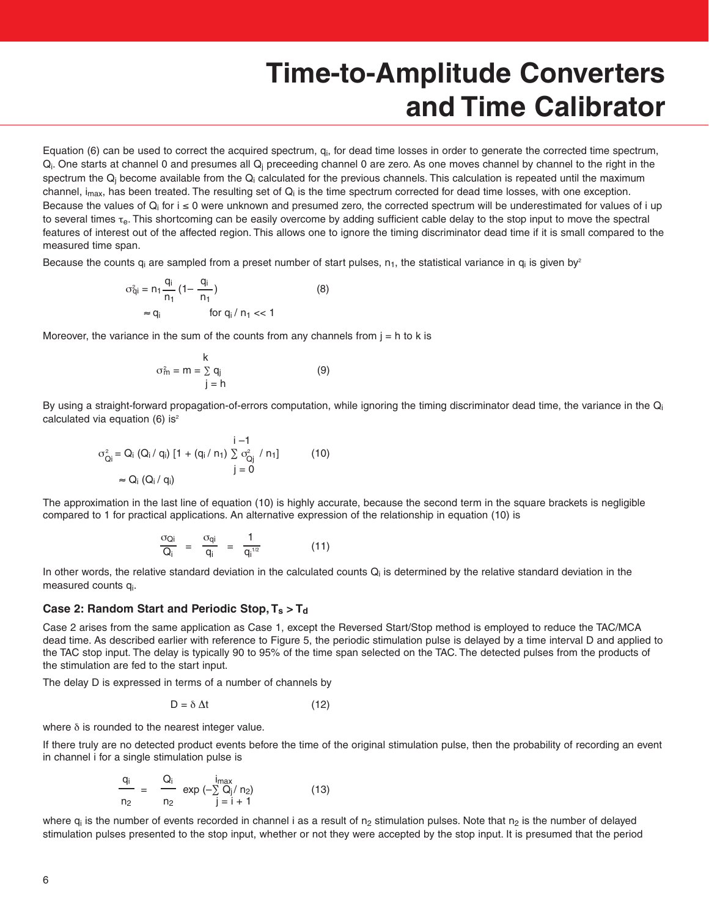Equation (6) can be used to correct the acquired spectrum, q<sub>i</sub>, for dead time losses in order to generate the corrected time spectrum,  $Q_i$ . One starts at channel 0 and presumes all  $Q_i$  preceeding channel 0 are zero. As one moves channel by channel to the right in the spectrum the  $Q_i$  become available from the  $Q_i$  calculated for the previous channels. This calculation is repeated until the maximum channel,  $i_{max}$ , has been treated. The resulting set of  $Q_i$  is the time spectrum corrected for dead time losses, with one exception. Because the values of  $Q_i$  for  $i \le 0$  were unknown and presumed zero, the corrected spectrum will be underestimated for values of i up to several times  $\tau_{\rm e}$ . This shortcoming can be easily overcome by adding sufficient cable delay to the stop input to move the spectral features of interest out of the affected region. This allows one to ignore the timing discriminator dead time if it is small compared to the measured time span.

Because the counts  $q_i$  are sampled from a preset number of start pulses,  $n_1$ , the statistical variance in  $q_i$  is given by<sup>2</sup>

$$
\sigma_{qi}^{2} = n_{1} \frac{q_{i}}{n_{1}} (1 - \frac{q_{i}}{n_{1}})
$$
\n
$$
\approx q_{i} \qquad \text{for } q_{i} / n_{1} << 1
$$
\n(8)

Moreover, the variance in the sum of the counts from any channels from  $j = h$  to k is

$$
\sigma_m^2 = m = \sum_{j=1}^{k} q_j \tag{9}
$$

By using a straight-forward propagation-of-errors computation, while ignoring the timing discriminator dead time, the variance in the  $Q_i$ calculated via equation (6) is $2$ 

$$
\sigma_{Qi}^{2} = Q_{i} (Q_{i} / q_{i}) [1 + (q_{i} / n_{1}) \sum_{j=0}^{i-1} \sigma_{Qi}^{2} / n_{1}]
$$
 (10)  

$$
\approx Q_{i} (Q_{i} / q_{i})
$$

The approximation in the last line of equation (10) is highly accurate, because the second term in the square brackets is negligible compared to 1 for practical applications. An alternative expression of the relationship in equation (10) is

$$
\frac{\sigma_{Qi}}{Q_i} = \frac{\sigma_{qi}}{q_i} = \frac{1}{q_i^{1/2}} \tag{11}
$$

In other words, the relative standard deviation in the calculated counts  $Q_i$  is determined by the relative standard deviation in the measured counts qi.

#### Case 2: Random Start and Periodic Stop,  $T_s > T_d$

Case 2 arises from the same application as Case 1, except the Reversed Start/Stop method is employed to reduce the TAC/MCA dead time. As described earlier with reference to Figure 5, the periodic stimulation pulse is delayed by a time interval D and applied to the TAC stop input. The delay is typically 90 to 95% of the time span selected on the TAC. The detected pulses from the products of the stimulation are fed to the start input.

The delay D is expressed in terms of a number of channels by

$$
D = \delta \, \Delta t \tag{12}
$$

where  $\delta$  is rounded to the nearest integer value.

If there truly are no detected product events before the time of the original stimulation pulse, then the probability of recording an event in channel i for a single stimulation pulse is

$$
\frac{q_i}{n_2} = \frac{Q_i}{n_2} \exp(-\sum_{j=1}^{i_{max}} \frac{Q_j}{n_2})
$$
(13)

where  $q_i$  is the number of events recorded in channel i as a result of  $n_2$  stimulation pulses. Note that  $n_2$  is the number of delayed stimulation pulses presented to the stop input, whether or not they were accepted by the stop input. It is presumed that the period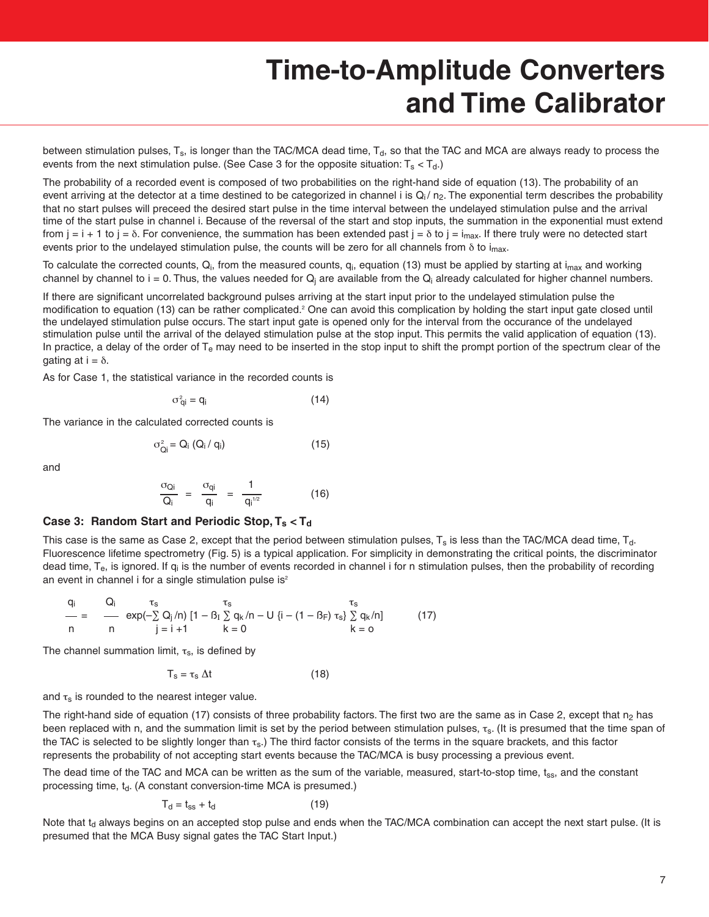between stimulation pulses, T<sub>s</sub>, is longer than the TAC/MCA dead time, T<sub>d</sub>, so that the TAC and MCA are always ready to process the events from the next stimulation pulse. (See Case 3 for the opposite situation:  $T_s < T_d$ .)

The probability of a recorded event is composed of two probabilities on the right-hand side of equation (13). The probability of an event arriving at the detector at a time destined to be categorized in channel i is  $Q_i / n_2$ . The exponential term describes the probability that no start pulses will preceed the desired start pulse in the time interval between the undelayed stimulation pulse and the arrival time of the start pulse in channel i. Because of the reversal of the start and stop inputs, the summation in the exponential must extend from  $j = i + 1$  to  $j = \delta$ . For convenience, the summation has been extended past  $j = \delta$  to  $j = i_{max}$ . If there truly were no detected start events prior to the undelayed stimulation pulse, the counts will be zero for all channels from  $\delta$  to i<sub>max</sub>.

To calculate the corrected counts,  $Q_i$ , from the measured counts,  $q_i$ , equation (13) must be applied by starting at  $i_{max}$  and working channel by channel to  $i = 0$ . Thus, the values needed for  $Q_i$  are available from the  $Q_i$  already calculated for higher channel numbers.

If there are significant uncorrelated background pulses arriving at the start input prior to the undelayed stimulation pulse the modification to equation (13) can be rather complicated.<sup>2</sup> One can avoid this complication by holding the start input gate closed until the undelayed stimulation pulse occurs. The start input gate is opened only for the interval from the occurance of the undelayed stimulation pulse until the arrival of the delayed stimulation pulse at the stop input. This permits the valid application of equation (13). In practice, a delay of the order of  $T_e$  may need to be inserted in the stop input to shift the prompt portion of the spectrum clear of the gating at  $i = δ$ .

As for Case 1, the statistical variance in the recorded counts is

$$
\sigma_{qi}^2 = q_i \tag{14}
$$

The variance in the calculated corrected counts is

$$
\sigma_{Qi}^2 = Q_i \left( Q_i / q_i \right) \tag{15}
$$

and

$$
\frac{\sigma_{Qi}}{Q_i} = \frac{\sigma_{qi}}{q_i} = \frac{1}{q_i^{1/2}} \tag{16}
$$

#### **Case 3: Random Start and Periodic Stop, Ts < Td**

This case is the same as Case 2, except that the period between stimulation pulses,  $T_s$  is less than the TAC/MCA dead time,  $T_d$ . Fluorescence lifetime spectrometry (Fig. 5) is a typical application. For simplicity in demonstrating the critical points, the discriminator dead time, T<sub>e</sub>, is ignored. If q<sub>i</sub> is the number of events recorded in channel i for n stimulation pulses, then the probability of recording an event in channel i for a single stimulation pulse is $2$ 

$$
\frac{q_i}{n} = \frac{Q_i}{n} \frac{\tau_s}{\exp(-\sum_{j=1}^{s} Q_j/n)} [1 - \beta_I \sum_{k=0}^{s} q_k/n - U \{i - (1 - \beta_F) \tau_s\} \sum_{k=0}^{s} q_k/n]
$$
(17)

The channel summation limit,  $\tau_s$ , is defined by

$$
T_s = \tau_s \Delta t \tag{18}
$$

and  $\tau_s$  is rounded to the nearest integer value.

The right-hand side of equation (17) consists of three probability factors. The first two are the same as in Case 2, except that  $n_2$  has been replaced with n, and the summation limit is set by the period between stimulation pulses,  $\tau_s$ . (It is presumed that the time span of the TAC is selected to be slightly longer than  $\tau_s$ .) The third factor consists of the terms in the square brackets, and this factor represents the probability of not accepting start events because the TAC/MCA is busy processing a previous event.

The dead time of the TAC and MCA can be written as the sum of the variable, measured, start-to-stop time,  $t_{ss}$ , and the constant processing time,  $t_d$ . (A constant conversion-time MCA is presumed.)

$$
T_d = t_{ss} + t_d \tag{19}
$$

Note that  $t<sub>d</sub>$  always begins on an accepted stop pulse and ends when the TAC/MCA combination can accept the next start pulse. (It is presumed that the MCA Busy signal gates the TAC Start Input.)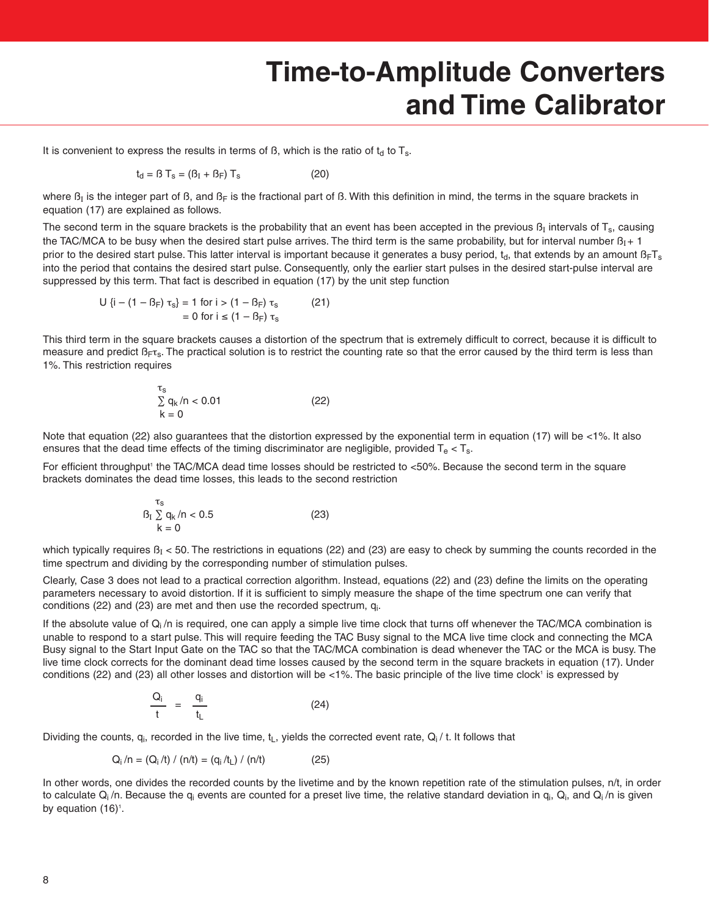It is convenient to express the results in terms of  $\beta$ , which is the ratio of  $t<sub>d</sub>$  to  $T<sub>s</sub>$ .

$$
t_d = \beta T_s = (\beta_I + \beta_F) T_s \tag{20}
$$

where  $B<sub>I</sub>$  is the integer part of  $B$ , and  $B<sub>F</sub>$  is the fractional part of  $B$ . With this definition in mind, the terms in the square brackets in equation (17) are explained as follows.

The second term in the square brackets is the probability that an event has been accepted in the previous  $B_I$  intervals of T<sub>s</sub>, causing the TAC/MCA to be busy when the desired start pulse arrives. The third term is the same probability, but for interval number  $B_1 + 1$ prior to the desired start pulse. This latter interval is important because it generates a busy period,  $t_d$ , that extends by an amount  $B_F T_s$ into the period that contains the desired start pulse. Consequently, only the earlier start pulses in the desired start-pulse interval are suppressed by this term. That fact is described in equation (17) by the unit step function

$$
U \{i - (1 - B_F) \tau_s\} = 1 \text{ for } i > (1 - B_F) \tau_s \tag{21}
$$
  
= 0 for  $i \le (1 - B_F) \tau_s$ 

This third term in the square brackets causes a distortion of the spectrum that is extremely difficult to correct, because it is difficult to measure and predict  $\beta_{\text{FT}_S}$ . The practical solution is to restrict the counting rate so that the error caused by the third term is less than 1%. This restriction requires

$$
\begin{array}{l}\n\tau_s \\
\sum q_k / n < 0.01 \\
k = 0\n\end{array} \tag{22}
$$

Note that equation (22) also quarantees that the distortion expressed by the exponential term in equation (17) will be <1%. It also ensures that the dead time effects of the timing discriminator are negligible, provided  $T_e < T_s$ .

For efficient throughput<sup>1</sup> the TAC/MCA dead time losses should be restricted to <50%. Because the second term in the square brackets dominates the dead time losses, this leads to the second restriction

$$
B_1 \sum_{k=0}^{\tau_s} q_k / n < 0.5 \tag{23}
$$

which typically requires  $B<sub>I</sub> < 50$ . The restrictions in equations (22) and (23) are easy to check by summing the counts recorded in the time spectrum and dividing by the corresponding number of stimulation pulses.

Clearly, Case 3 does not lead to a practical correction algorithm. Instead, equations (22) and (23) define the limits on the operating parameters necessary to avoid distortion. If it is sufficient to simply measure the shape of the time spectrum one can verify that conditions (22) and (23) are met and then use the recorded spectrum, qi.

If the absolute value of  $Q_i/n$  is required, one can apply a simple live time clock that turns off whenever the TAC/MCA combination is unable to respond to a start pulse. This will require feeding the TAC Busy signal to the MCA live time clock and connecting the MCA Busy signal to the Start Input Gate on the TAC so that the TAC/MCA combination is dead whenever the TAC or the MCA is busy. The live time clock corrects for the dominant dead time losses caused by the second term in the square brackets in equation (17). Under conditions (22) and (23) all other losses and distortion will be <1%. The basic principle of the live time clock<sup>1</sup> is expressed by

$$
\frac{Q_i}{t} = \frac{q_i}{t_L} \tag{24}
$$

Dividing the counts,  $q_i$ , recorded in the live time,  $t_L$ , yields the corrected event rate,  $Q_i / t$ . It follows that

$$
Q_i/n = (Q_i/t) / (n/t) = (q_i/t_L) / (n/t)
$$
 (25)

In other words, one divides the recorded counts by the livetime and by the known repetition rate of the stimulation pulses, n/t, in order to calculate  $Q_i/n$ . Because the  $q_i$  events are counted for a preset live time, the relative standard deviation in  $q_i$ ,  $Q_i$ , and  $Q_i/n$  is given by equation  $(16)^{1}$ .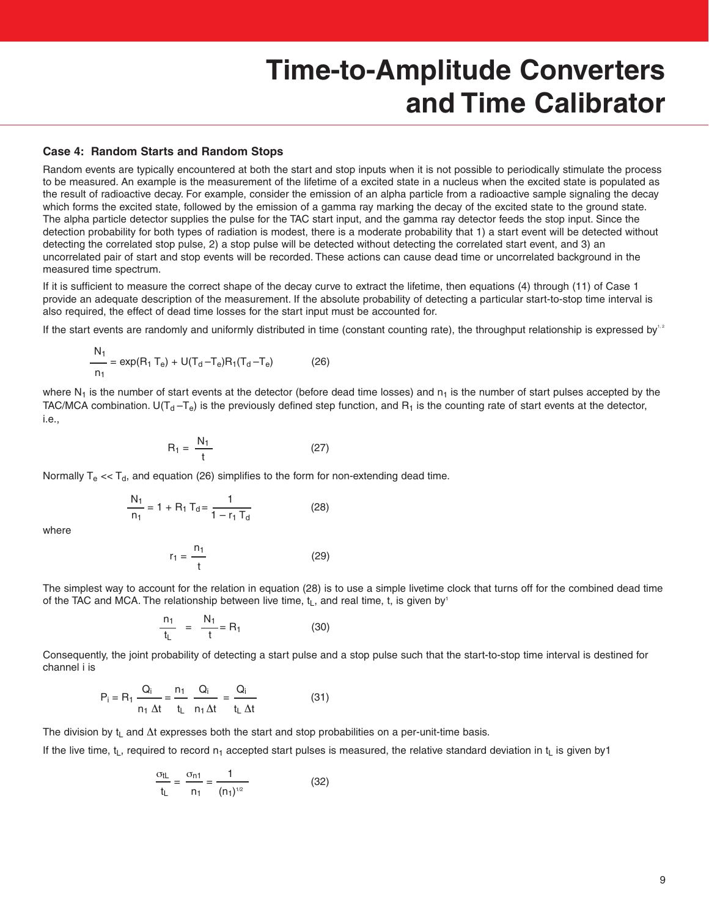#### **Case 4: Random Starts and Random Stops**

Random events are typically encountered at both the start and stop inputs when it is not possible to periodically stimulate the process to be measured. An example is the measurement of the lifetime of a excited state in a nucleus when the excited state is populated as the result of radioactive decay. For example, consider the emission of an alpha particle from a radioactive sample signaling the decay which forms the excited state, followed by the emission of a gamma ray marking the decay of the excited state to the ground state. The alpha particle detector supplies the pulse for the TAC start input, and the gamma ray detector feeds the stop input. Since the detection probability for both types of radiation is modest, there is a moderate probability that 1) a start event will be detected without detecting the correlated stop pulse, 2) a stop pulse will be detected without detecting the correlated start event, and 3) an uncorrelated pair of start and stop events will be recorded. These actions can cause dead time or uncorrelated background in the measured time spectrum.

If it is sufficient to measure the correct shape of the decay curve to extract the lifetime, then equations (4) through (11) of Case 1 provide an adequate description of the measurement. If the absolute probability of detecting a particular start-to-stop time interval is also required, the effect of dead time losses for the start input must be accounted for.

If the start events are randomly and uniformly distributed in time (constant counting rate), the throughput relationship is expressed by $^{12}$ 

$$
\frac{N_1}{n_1} = \exp(R_1 T_e) + U(T_d - T_e)R_1(T_d - T_e)
$$
 (26)

where  $N_1$  is the number of start events at the detector (before dead time losses) and  $n_1$  is the number of start pulses accepted by the TAC/MCA combination. U( $T_d - T_e$ ) is the previously defined step function, and  $R_1$  is the counting rate of start events at the detector, i.e.,

$$
R_1 = \frac{N_1}{t} \tag{27}
$$

Normally  $T_e \ll T_d$ , and equation (26) simplifies to the form for non-extending dead time.

$$
\frac{N_1}{n_1} = 1 + R_1 T_d = \frac{1}{1 - r_1 T_d}
$$
 (28)

where

$$
r_1 = \frac{n_1}{t} \tag{29}
$$

The simplest way to account for the relation in equation (28) is to use a simple livetime clock that turns off for the combined dead time of the TAC and MCA. The relationship between live time,  $t<sub>L</sub>$ , and real time, t, is given by<sup>1</sup>

$$
\frac{n_1}{t_L} = \frac{N_1}{t} = R_1 \tag{30}
$$

Consequently, the joint probability of detecting a start pulse and a stop pulse such that the start-to-stop time interval is destined for channel i is

$$
P_i = R_1 \frac{Q_i}{n_1 \Delta t} = \frac{n_1}{t_L} \frac{Q_i}{n_1 \Delta t} = \frac{Q_i}{t_L \Delta t}
$$
(31)

The division by  $t<sub>L</sub>$  and  $\Delta t$  expresses both the start and stop probabilities on a per-unit-time basis.

If the live time,  $t_L$ , required to record  $n_1$  accepted start pulses is measured, the relative standard deviation in  $t_L$  is given by 1

$$
\frac{\sigma_{\text{tl}}}{t_{\text{L}}} = \frac{\sigma_{\text{n1}}}{n_{\text{1}}} = \frac{1}{(n_{\text{1}})^{1/2}}
$$
(32)